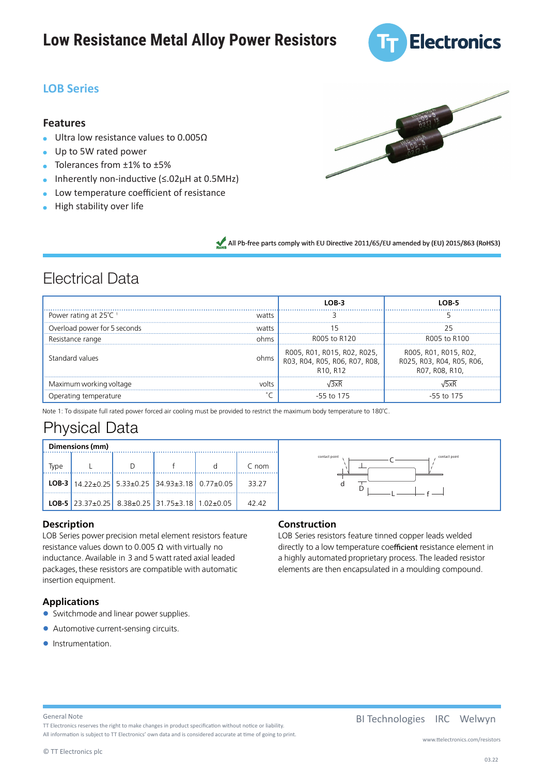### **Low Resistance Metal Alloy Power Resistors** Low Resistance Metal **Resistance Metal Alloy Power Resist** Low Resistance Metal



#### **LOB Series** Element Resistors and the Resistors of the Resistors of the Resistors of the Resistors of the Resistors of the Resistors of the Resistors of the Resistors of the Resistors of the Resistors of the Resistors of the Resistors Element Resistors

## Features

- Ultra low resistance values to 0.005Ω **· Ultra low resistance values • Ultralowresistancevalues** ■ Ultra low resistance values to 0.005
- Up to 5W rated power **1.0005 to 0.11 to 0.11 to 0.11 to 0.11 to 0.11 to 0.11 to 0.11 to 0.11 to 0.11 to 0.11 to 0.11 to 0.11 to 0.1** • Up to 5W rated power<br>
Feleronees from  $\pm 1$ % to  $\pm 5$ %
- Tolerances from  $\pm 1\%$  to  $\pm 5\%$ <br> **• Inherantly non-inductive**  $(6.23)(1.1)$
- Inherently non-inductive (≤.02μH at 0.5MHz) **· Inherently non-inductive ( .02µH at 0.5MHz) • Tolerancesfrom±1%to±5% • Tolerancesfrom±1%to±5%**
- Low temperature coefficient of resistance • **EUW** temperature coefficient or resistance

Electrical Data

**•** High stability over life **• Lowtemperature coe ofresistance**



All Pb-free parts comply with EU Directive 2011/65/EU amended by (EU) 2015/863 (RoHS3)

|                         | Fical Data                                                                                                                                                                    |  |                                            |                          |         |       |                                                                        |       |             |                                                                                                                                                                                                                                                                        |                          |         |
|-------------------------|-------------------------------------------------------------------------------------------------------------------------------------------------------------------------------|--|--------------------------------------------|--------------------------|---------|-------|------------------------------------------------------------------------|-------|-------------|------------------------------------------------------------------------------------------------------------------------------------------------------------------------------------------------------------------------------------------------------------------------|--------------------------|---------|
|                         |                                                                                                                                                                               |  |                                            |                          |         |       |                                                                        |       |             | $LOB-1$                                                                                                                                                                                                                                                                | $LOB-3$                  | $LOB-5$ |
|                         | Continuous power dissipation at 25°C in free air                                                                                                                              |  |                                            |                          |         |       |                                                                        |       | watts       | $LOB-3$                                                                                                                                                                                                                                                                | $LOB-5$                  |         |
|                         | Power radiverlead power for 5 seconds<br>watts                                                                                                                                |  |                                            |                          |         | watts | 35                                                                     | 15    | 25          |                                                                                                                                                                                                                                                                        |                          |         |
|                         | Overload new reufor borks of deltage                                                                                                                                          |  |                                            |                          |         |       |                                                                        | watts | volts       | $1\sqrt{31}xR$                                                                                                                                                                                                                                                         | $\sqrt{3}$ <sub>XR</sub> | √5xF    |
|                         | Resistan Martin Storage temperature.                                                                                                                                          |  |                                            |                          |         |       |                                                                        | ohms  | $\degree$ C | R005 tq R420                                                                                                                                                                                                                                                           | 175 R005 to R100         | .1.7.5  |
|                         | into account when selecting a resistor.                                                                                                                                       |  |                                            |                          |         |       |                                                                        |       |             | Standarg Warnesting Control of the maximum wattage rating depends upon the amount of the amount of the standarg way and the standard Wemaximum eler<br>The amount of coling air, thermal resistance of healer of the emperature o<br>R <sub>10</sub> , R <sub>12</sub> | R07, R08, R10,           |         |
|                         | Maximum working voltage                                                                                                                                                       |  |                                            |                          |         |       |                                                                        | volts |             | $\sqrt{3}xR$                                                                                                                                                                                                                                                           | √5xR                     |         |
| Œ<br>Operating remember |                                                                                                                                                                               |  |                                            | -55 to 175<br>-55 to 175 |         |       |                                                                        |       |             |                                                                                                                                                                                                                                                                        |                          |         |
|                         | Dimensionsmm)<br>Tvne                                                                                                                                                         |  | may                                        |                          | $D$ max | f min | d nom                                                                  |       |             | Note 1: T <del>p dissipate full rated power forced air cooling must be provided to restrict the maximum body temperature to 180°C</del><br>contact point                                                                                                               |                          |         |
| Type                    | Dimensions (mm) 9±03.<br>LOB <sub>1</sub> 3 14.2 2±0. $\frac{\pi}{4}$ 5.33 ± 0. $\frac{\pi}{4}$ 5.9 $\frac{14.93 \pm 3.8}{4.93 \pm 3.8}$ $\frac{\pi}{4}$ 81± $\frac{14.5}{2}$ |  |                                            |                          |         |       | $0.3.6 \pm 0.2 \ldots 38.1 \pm 3.2 \ldots 0.813 \pm 0.05 \ldots 33.25$ |       |             | contact point                                                                                                                                                                                                                                                          | contact point<br>ÐG      |         |
| $LOB-3$                 | <u>14.22±0.251.5.33±0.25.134.93±3.181.0.77±0.05</u>                                                                                                                           |  | LOB-5 23.37±0.2 8.38±0.2 31.75±3.8 102±0.0 |                          |         |       | 33.27                                                                  | 42.42 |             | Ð                                                                                                                                                                                                                                                                      |                          |         |
|                         | LOB-5 $23.37 \text{ to } 8.38 \pm 0.25$ 31.75±3.18 1.02±0.05                                                                                                                  |  |                                            |                          |         |       | 42.42                                                                  |       |             | <b>Construction</b>                                                                                                                                                                                                                                                    |                          |         |

LOBΩ Series power precision metal element resistors feature **Description**

resistance values down to 0,005  $\Omega$  with virtually no inductance. Available in 1,3 and 5 watt rated axial leaded packages,these resistors are compatible with automatic insertion equipment. LOB Series power precision metal element resistors feature  $resistance$  values down to 0.005  $\Omega$  with virtually no inductance. Available in 3 and 5 watt rated axial leaded packages,these resistors are compatible with automatic

### insertion equipment

**•** Switchmode and linear power supplies. **Applications**

- Switchmode and linear power supplies.
- **•** Automotive current at its and the circuits.
- **•** Instrumentation.

LOBΩ Series resistors feature tinned copper leads welded

directly to a low temperature coefficient resistance element a highly automated proprietary process. The leaded resistor elements are then encapsulated in a moulding compound. **Construction** LOB Series resistors feature tinned copper leads welded directly to a low temperature coefficient resistance element in a highly automated proprietary process. The leaded resistor

elements are then encapsulated in a moulding compound.

#### General Note **GeneralNote** Wordentsreserves the right to make changes in product with the right to make changes in product without notice

OUT ELECTED IN MOTE<br>TT Electronics reserves the right to make changes in product specification without notice or liability.

All information is subject to TT Electronics' own data and is considered accurate at time of going to print. **COMPONENT IN SURFECT OF A LIGER COMPONENT AND INCORPORATION IN A CONSIDER OF A CONSIDER AT AMALE OF SOME CO-PMI<br>COMPONENT NEWSFILM** 

www.ttelectronics.com/resistors

Thes.com/resistor.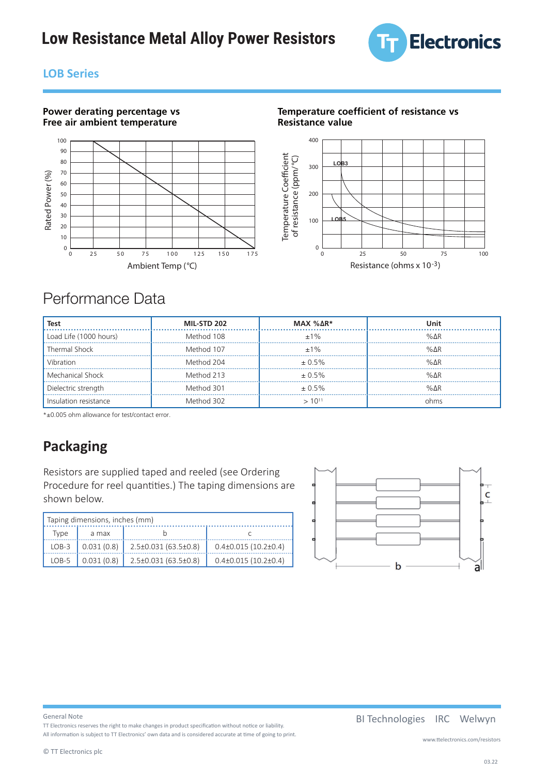

### **LOB Series** Element Resistors Element Resistors

Dower ders



#### **Temperature coefficient of resistance vs Resistance value** *Welwyn Components*



## Performance Data

**Power derating percentage vs**

| Test                   | <b>MIL-STD 202</b> | MAX % AR*   | Unit          |
|------------------------|--------------------|-------------|---------------|
| Load Life (1000 hours) | Method 108         | $+1\%$      | $%$ $AR$      |
| Thermal Shock          | Method 107         | $+1\%$      | $%$ AR        |
| Vibration              | Method 204         | $\pm 0.5\%$ | % $\Lambda$ R |
| Mechanical Shock       | Method 213         | $\pm 0.5\%$ | % $\Lambda$ R |
| Dielectric strength    | Method 301         | $+0.5\%$    | % $\Lambda$ R |
| Insulation resistance  | Method 302         |             | ohms          |

**Packaging** \*±0.0005 ohm allowance for test/contact error. \*±0.005 ohm allowance for test/contact error.

### **Packaging** Resistors are supplied taped and reeled.

Resistors are supplied taped and reeled (see Ordering Procedure for reel quantities.) The taping dimensions are  $\qquad \qquad \qquad \qquad \qquad$ shown below.

| Taping dimensions, inches (mm) |       |                                                  |                           |  |
|--------------------------------|-------|--------------------------------------------------|---------------------------|--|
| Tvpe                           | a max |                                                  |                           |  |
|                                |       | LOB-3   0.031 (0.8)   2.5±0.031 (63.5±0.8)       | $0.4\pm0.015(10.2\pm0.4)$ |  |
|                                |       | LOB-5   $0.031(0.8)$   $2.5\pm0.031(63.5\pm0.8)$ | $0.4\pm0.015(10.2\pm0.4)$ |  |



#### **General Note** General Note

TT electronics reserves the right to make changes in product specification without notice or liability. TT Electronics reserves the right to make changes in product specification without notice or liability.

All information is subject to TT electronics' own data and is considered accurate at time of going to print. All information is subject to TT Electronics' own data and is considered accurate at time of going to print.

BI Technologies IRC Welwyn